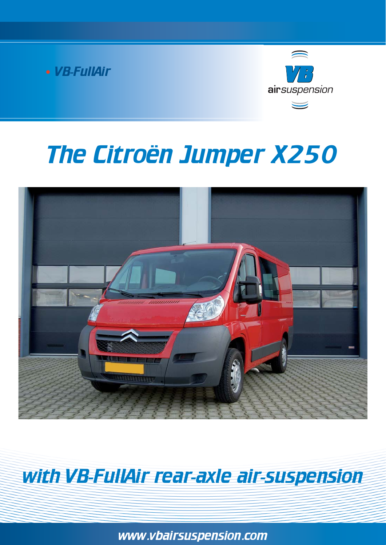VB-FullAir



# The Citroën Jumper X250



## with VB-FullAir rear-axle air-suspension

www.vbairsuspension.com